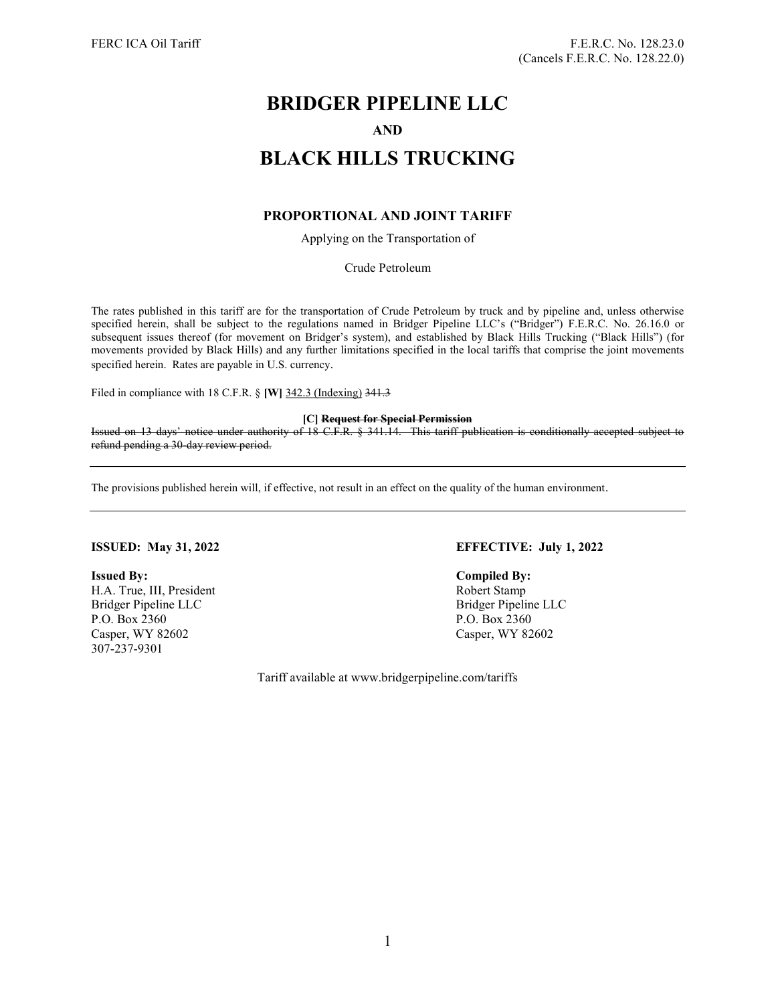# BRIDGER PIPELINE LLC AND BLACK HILLS TRUCKING

# PROPORTIONAL AND JOINT TARIFF

Applying on the Transportation of

Crude Petroleum

The rates published in this tariff are for the transportation of Crude Petroleum by truck and by pipeline and, unless otherwise specified herein, shall be subject to the regulations named in Bridger Pipeline LLC's ("Bridger") F.E.R.C. No. 26.16.0 or subsequent issues thereof (for movement on Bridger's system), and established by Black Hills Trucking ("Black Hills") (for movements provided by Black Hills) and any further limitations specified in the local tariffs that comprise the joint movements specified herein. Rates are payable in U.S. currency.

Filed in compliance with 18 C.F.R. § [W] 342.3 (Indexing) 341.3

[C] Request for Special Permission

Issued on 13 days' notice under authority of 18 C.F.R. § 341.14. This tariff publication is conditionally accepted subject to refund pending a 30-day review period.

The provisions published herein will, if effective, not result in an effect on the quality of the human environment.

Issued By: Compiled By: H.A. True, III, President Robert Stamp Bridger Pipeline LLC Bridger Pipeline LLC P.O. Box 2360 P.O. Box 2360 Casper, WY 82602 Casper, WY 82602 307-237-9301

# ISSUED: May 31, 2022 EFFECTIVE: July 1, 2022

Tariff available at www.bridgerpipeline.com/tariffs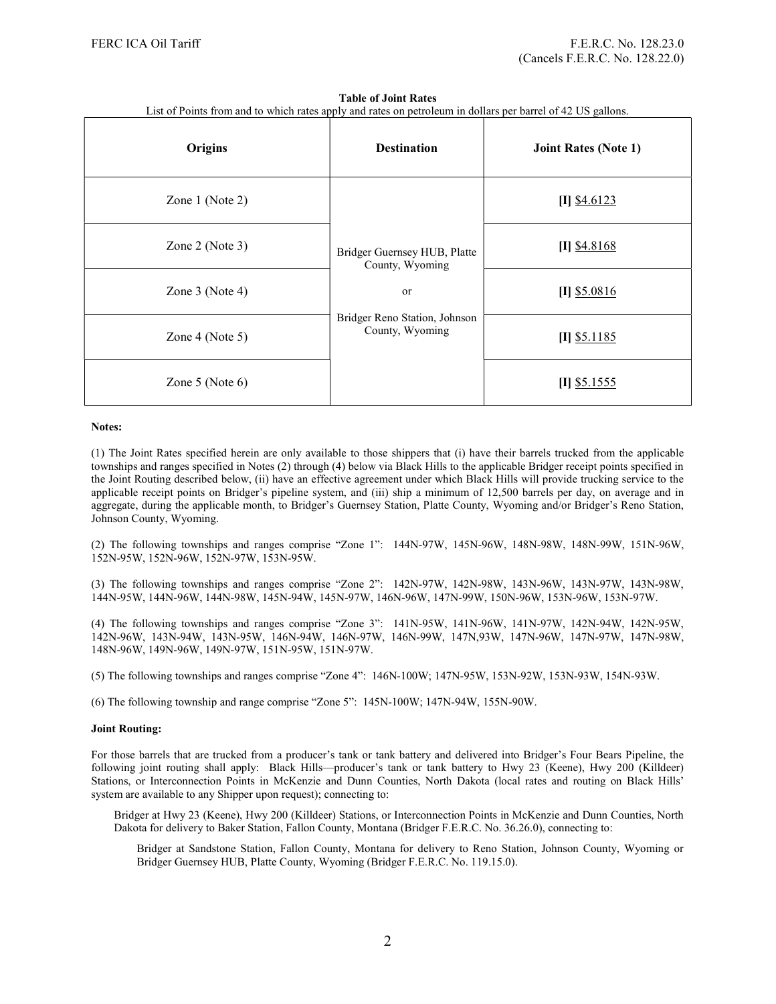#### Table of Joint Rates

| List of Points from and to which rates apply and rates on petroleum in dollars per barrel of 42 US gallons. |  |  |
|-------------------------------------------------------------------------------------------------------------|--|--|
|                                                                                                             |  |  |

| Origins              | <b>Destination</b>                               | <b>Joint Rates (Note 1)</b> |
|----------------------|--------------------------------------------------|-----------------------------|
| Zone $1$ (Note 2)    |                                                  | $[I]$ \$4.6123              |
| Zone $2$ (Note 3)    | Bridger Guernsey HUB, Platte<br>County, Wyoming  | $[I]$ \$4.8168              |
| Zone $3$ (Note 4)    | or                                               | $[I]$ \$5.0816              |
| Zone 4 (Note 5)      | Bridger Reno Station, Johnson<br>County, Wyoming | $[I]$ \$5.1185              |
| Zone $5$ (Note $6$ ) |                                                  | $[I]$ \$5.1555              |

#### Notes:

(1) The Joint Rates specified herein are only available to those shippers that (i) have their barrels trucked from the applicable townships and ranges specified in Notes (2) through (4) below via Black Hills to the applicable Bridger receipt points specified in the Joint Routing described below, (ii) have an effective agreement under which Black Hills will provide trucking service to the applicable receipt points on Bridger's pipeline system, and (iii) ship a minimum of 12,500 barrels per day, on average and in aggregate, during the applicable month, to Bridger's Guernsey Station, Platte County, Wyoming and/or Bridger's Reno Station, Johnson County, Wyoming.

(2) The following townships and ranges comprise "Zone 1": 144N-97W, 145N-96W, 148N-98W, 148N-99W, 151N-96W, 152N-95W, 152N-96W, 152N-97W, 153N-95W.

(3) The following townships and ranges comprise "Zone 2": 142N-97W, 142N-98W, 143N-96W, 143N-97W, 143N-98W, 144N-95W, 144N-96W, 144N-98W, 145N-94W, 145N-97W, 146N-96W, 147N-99W, 150N-96W, 153N-96W, 153N-97W.

(4) The following townships and ranges comprise "Zone 3": 141N-95W, 141N-96W, 141N-97W, 142N-94W, 142N-95W, 142N-96W, 143N-94W, 143N-95W, 146N-94W, 146N-97W, 146N-99W, 147N,93W, 147N-96W, 147N-97W, 147N-98W, 148N-96W, 149N-96W, 149N-97W, 151N-95W, 151N-97W.

(5) The following townships and ranges comprise "Zone 4": 146N-100W; 147N-95W, 153N-92W, 153N-93W, 154N-93W.

(6) The following township and range comprise "Zone 5": 145N-100W; 147N-94W, 155N-90W.

#### Joint Routing:

For those barrels that are trucked from a producer's tank or tank battery and delivered into Bridger's Four Bears Pipeline, the following joint routing shall apply: Black Hills—producer's tank or tank battery to Hwy 23 (Keene), Hwy 200 (Killdeer) Stations, or Interconnection Points in McKenzie and Dunn Counties, North Dakota (local rates and routing on Black Hills' system are available to any Shipper upon request); connecting to:

Bridger at Hwy 23 (Keene), Hwy 200 (Killdeer) Stations, or Interconnection Points in McKenzie and Dunn Counties, North Dakota for delivery to Baker Station, Fallon County, Montana (Bridger F.E.R.C. No. 36.26.0), connecting to:

Bridger at Sandstone Station, Fallon County, Montana for delivery to Reno Station, Johnson County, Wyoming or Bridger Guernsey HUB, Platte County, Wyoming (Bridger F.E.R.C. No. 119.15.0).